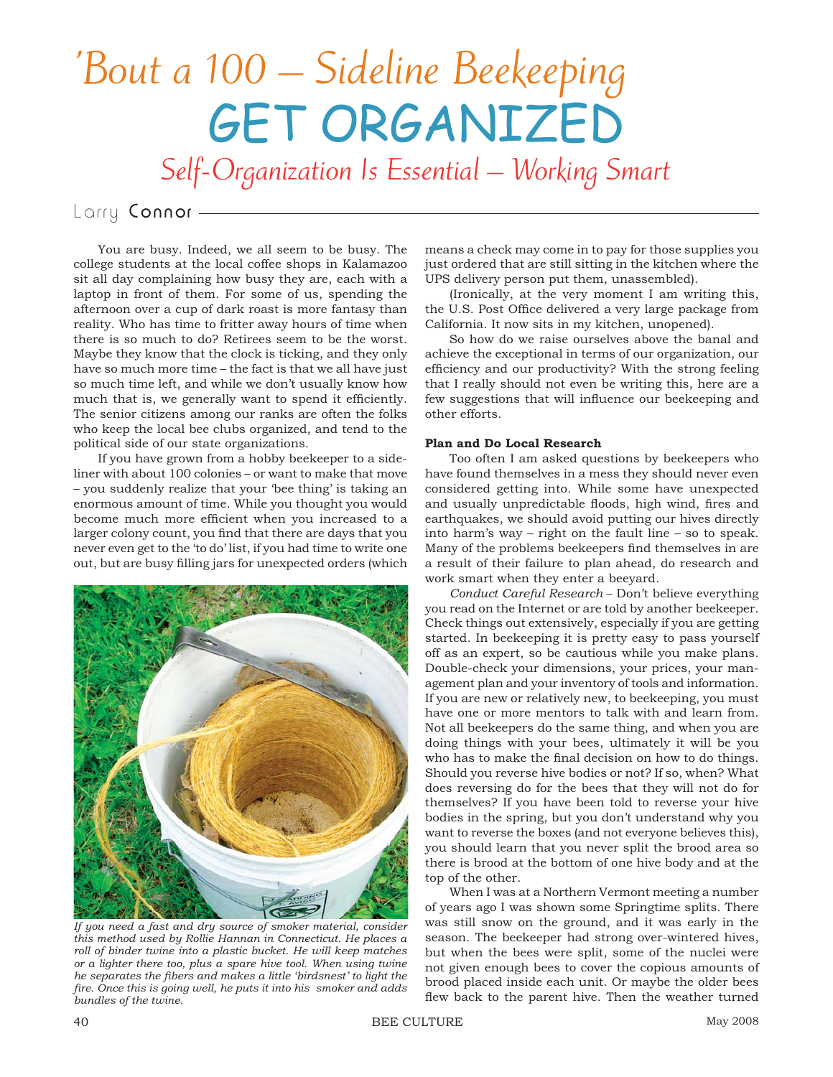## 'Bout a 100 – Sideline Beekeeping GET ORGANIZED

Self-Organization Is Essential – Working Smart

## Larry Connor-

You are busy. Indeed, we all seem to be busy. The college students at the local coffee shops in Kalamazoo sit all day complaining how busy they are, each with a laptop in front of them. For some of us, spending the afternoon over a cup of dark roast is more fantasy than reality. Who has time to fritter away hours of time when there is so much to do? Retirees seem to be the worst. Maybe they know that the clock is ticking, and they only have so much more time – the fact is that we all have just so much time left, and while we don't usually know how much that is, we generally want to spend it efficiently. The senior citizens among our ranks are often the folks who keep the local bee clubs organized, and tend to the political side of our state organizations.

If you have grown from a hobby beekeeper to a sideliner with about 100 colonies – or want to make that move – you suddenly realize that your 'bee thing' is taking an enormous amount of time. While you thought you would become much more efficient when you increased to a larger colony count, you find that there are days that you never even get to the 'to do' list, if you had time to write one out, but are busy filling jars for unexpected orders (which



*If you need a fast and dry source of smoker material, consider this method used by Rollie Hannan in Connecticut. He places a roll of binder twine into a plastic bucket. He will keep matches or a lighter there too, plus a spare hive tool. When using twine he separates the fibers and makes a little 'birdsnest' to light the fi re. Once this is going well, he puts it into his smoker and adds bundles of the twine.*

means a check may come in to pay for those supplies you just ordered that are still sitting in the kitchen where the UPS delivery person put them, unassembled).

(Ironically, at the very moment I am writing this, the U.S. Post Office delivered a very large package from California. It now sits in my kitchen, unopened).

So how do we raise ourselves above the banal and achieve the exceptional in terms of our organization, our efficiency and our productivity? With the strong feeling that I really should not even be writing this, here are a few suggestions that will influence our beekeeping and other efforts.

## **Plan and Do Local Research**

Too often I am asked questions by beekeepers who have found themselves in a mess they should never even considered getting into. While some have unexpected and usually unpredictable floods, high wind, fires and earthquakes, we should avoid putting our hives directly into harm's way – right on the fault line – so to speak. Many of the problems beekeepers find themselves in are. a result of their failure to plan ahead, do research and work smart when they enter a beeyard.

*Conduct Careful Research* – Don't believe everything you read on the Internet or are told by another beekeeper. Check things out extensively, especially if you are getting started. In beekeeping it is pretty easy to pass yourself off as an expert, so be cautious while you make plans. Double-check your dimensions, your prices, your management plan and your inventory of tools and information. If you are new or relatively new, to beekeeping, you must have one or more mentors to talk with and learn from. Not all beekeepers do the same thing, and when you are doing things with your bees, ultimately it will be you who has to make the final decision on how to do things. Should you reverse hive bodies or not? If so, when? What does reversing do for the bees that they will not do for themselves? If you have been told to reverse your hive bodies in the spring, but you don't understand why you want to reverse the boxes (and not everyone believes this), you should learn that you never split the brood area so there is brood at the bottom of one hive body and at the top of the other.

When I was at a Northern Vermont meeting a number of years ago I was shown some Springtime splits. There was still snow on the ground, and it was early in the season. The beekeeper had strong over-wintered hives, but when the bees were split, some of the nuclei were not given enough bees to cover the copious amounts of brood placed inside each unit. Or maybe the older bees flew back to the parent hive. Then the weather turned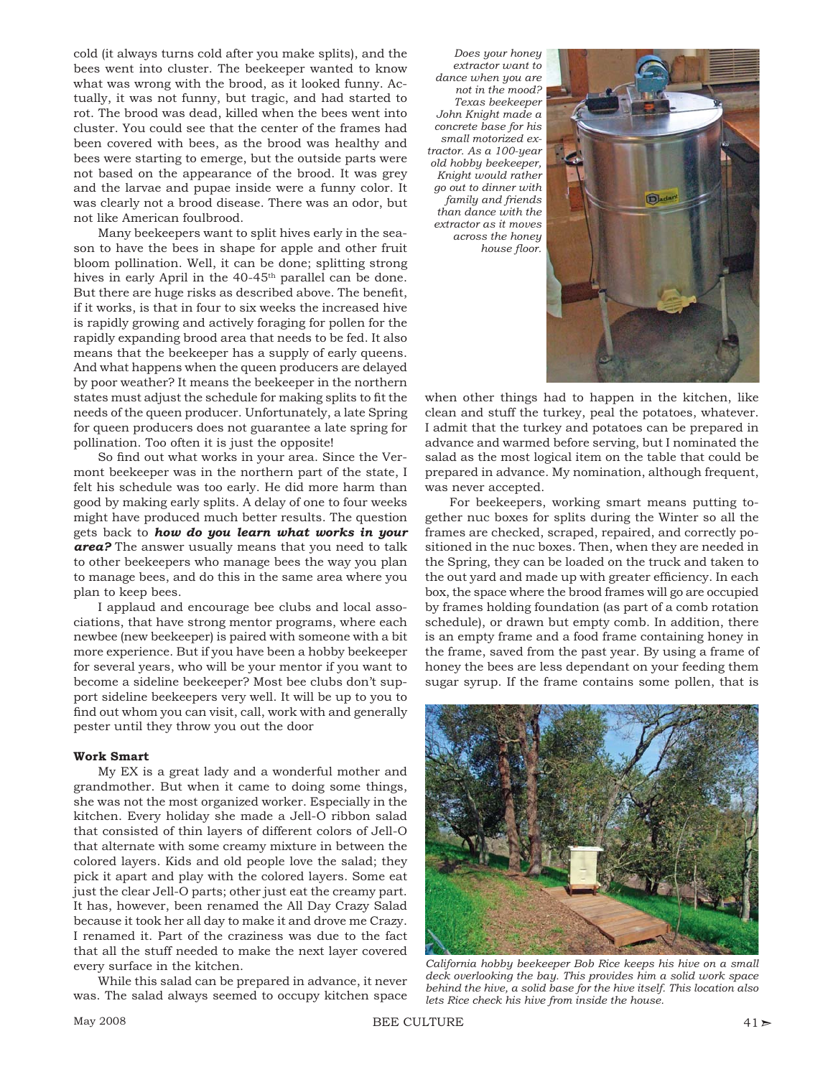cold (it always turns cold after you make splits), and the bees went into cluster. The beekeeper wanted to know what was wrong with the brood, as it looked funny. Actually, it was not funny, but tragic, and had started to rot. The brood was dead, killed when the bees went into cluster. You could see that the center of the frames had been covered with bees, as the brood was healthy and bees were starting to emerge, but the outside parts were not based on the appearance of the brood. It was grey and the larvae and pupae inside were a funny color. It was clearly not a brood disease. There was an odor, but not like American foulbrood.

Many beekeepers want to split hives early in the season to have the bees in shape for apple and other fruit bloom pollination. Well, it can be done; splitting strong hives in early April in the 40-45<sup>th</sup> parallel can be done. But there are huge risks as described above. The benefit, if it works, is that in four to six weeks the increased hive is rapidly growing and actively foraging for pollen for the rapidly expanding brood area that needs to be fed. It also means that the beekeeper has a supply of early queens. And what happens when the queen producers are delayed by poor weather? It means the beekeeper in the northern states must adjust the schedule for making splits to fit the needs of the queen producer. Unfortunately, a late Spring for queen producers does not guarantee a late spring for pollination. Too often it is just the opposite!

So find out what works in your area. Since the Vermont beekeeper was in the northern part of the state, I felt his schedule was too early. He did more harm than good by making early splits. A delay of one to four weeks might have produced much better results. The question gets back to *how do you learn what works in your area?* The answer usually means that you need to talk to other beekeepers who manage bees the way you plan to manage bees, and do this in the same area where you plan to keep bees.

I applaud and encourage bee clubs and local associations, that have strong mentor programs, where each newbee (new beekeeper) is paired with someone with a bit more experience. But if you have been a hobby beekeeper for several years, who will be your mentor if you want to become a sideline beekeeper? Most bee clubs don't support sideline beekeepers very well. It will be up to you to find out whom you can visit, call, work with and generally pester until they throw you out the door

## **Work Smart**

My EX is a great lady and a wonderful mother and grandmother. But when it came to doing some things, she was not the most organized worker. Especially in the kitchen. Every holiday she made a Jell-O ribbon salad that consisted of thin layers of different colors of Jell-O that alternate with some creamy mixture in between the colored layers. Kids and old people love the salad; they pick it apart and play with the colored layers. Some eat just the clear Jell-O parts; other just eat the creamy part. It has, however, been renamed the All Day Crazy Salad because it took her all day to make it and drove me Crazy. I renamed it. Part of the craziness was due to the fact that all the stuff needed to make the next layer covered every surface in the kitchen.

While this salad can be prepared in advance, it never was. The salad always seemed to occupy kitchen space

*Does your honey extractor want to dance when you are not in the mood? Texas beekeeper John Knight made a concrete base for his small motorized extractor. As a 100-year old hobby beekeeper, Knight would rather go out to dinner with family and friends than dance with the extractor as it moves across the honey*  house floor.



when other things had to happen in the kitchen, like clean and stuff the turkey, peal the potatoes, whatever. I admit that the turkey and potatoes can be prepared in advance and warmed before serving, but I nominated the salad as the most logical item on the table that could be prepared in advance. My nomination, although frequent, was never accepted.

For beekeepers, working smart means putting together nuc boxes for splits during the Winter so all the frames are checked, scraped, repaired, and correctly positioned in the nuc boxes. Then, when they are needed in the Spring, they can be loaded on the truck and taken to the out yard and made up with greater efficiency. In each box, the space where the brood frames will go are occupied by frames holding foundation (as part of a comb rotation schedule), or drawn but empty comb. In addition, there is an empty frame and a food frame containing honey in the frame, saved from the past year. By using a frame of honey the bees are less dependant on your feeding them sugar syrup. If the frame contains some pollen, that is



*California hobby beekeeper Bob Rice keeps his hive on a small deck overlooking the bay. This provides him a solid work space behind the hive, a solid base for the hive itself. This location also lets Rice check his hive from inside the house.*